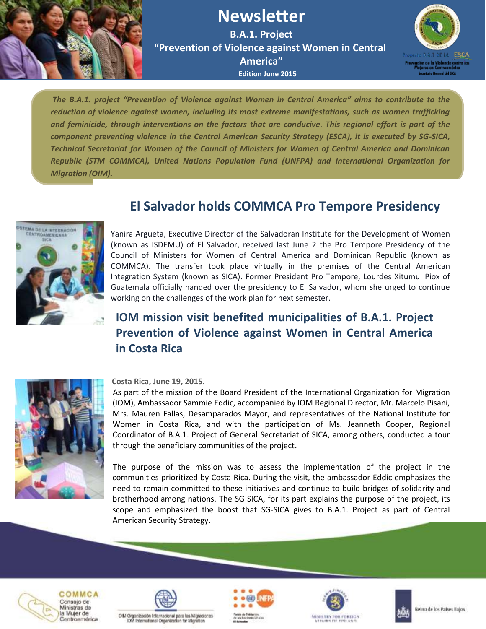

# **Newsletter**

**B.A.1. Project "Prevention of Violence against Women in Central America" Edition June 2015**



*The B.A.1. project "Prevention of Violence against Women in Central America" aims to contribute to the reduction of violence against women, including its most extreme manifestations, such as women trafficking and feminicide, through interventions on the factors that are conducive*. *This regional effort is part of the component preventing violence in the Central American Security Strategy (ESCA), it is executed by SG-SICA, Technical Secretariat for Women of the Council of Ministers for Women of Central America and Dominican Republic (STM COMMCA), United Nations Population Fund (UNFPA) and International Organization for Migration (OIM).*



## **[El Salvador holds COMMCA Pro Tempore Presidency](http://www.sica.int/consulta/Noticia.aspx?idn=94497&idm=1)**

Yanira Argueta, Executive Director of the Salvadoran Institute for the Development of Women (known as ISDEMU) of El Salvador, received last June 2 the Pro Tempore Presidency of the Council of Ministers for Women of Central America and Dominican Republic (known as COMMCA). The transfer took place virtually in the premises of the Central American Integration System (known as SICA). Former President Pro Tempore, Lourdes Xitumul Piox of Guatemala officially handed over the presidency to El Salvador, whom she urged to continue working on the challenges of the work plan for next semester.

## **[IOM mission visit benefited municipalities of B.A.1. Project](http://www.sica.int/consulta/Noticia.aspx?idn=94497&idm=1)  Prevention of Violence against Women in Central America in Costa Rica**



#### **Costa Rica, June 19, 2015.**

 As part of the mission of the Board President of the International Organization for Migration (IOM), Ambassador Sammie Eddic, accompanied by IOM Regional Director, Mr. Marcelo Pisani, Mrs. Mauren Fallas, Desamparados Mayor, and representatives of the National Institute for Women in Costa Rica, and with the participation of Ms. Jeanneth Cooper, Regional Coordinator of B.A.1. Project of General Secretariat of SICA, among others, conducted a tour through the beneficiary communities of the project.

 The purpose of the mission was to assess the implementation of the project in the communities prioritized by Costa Rica. During the visit, the ambassador Eddic emphasizes the need to remain committed to these initiatives and continue to build bridges of solidarity and brotherhood among nations. The SG SICA, for its part explains the purpose of the project, its scope and emphasized the boost that SG-SICA gives to B.A.1. Project as part of Central American Security Strategy.









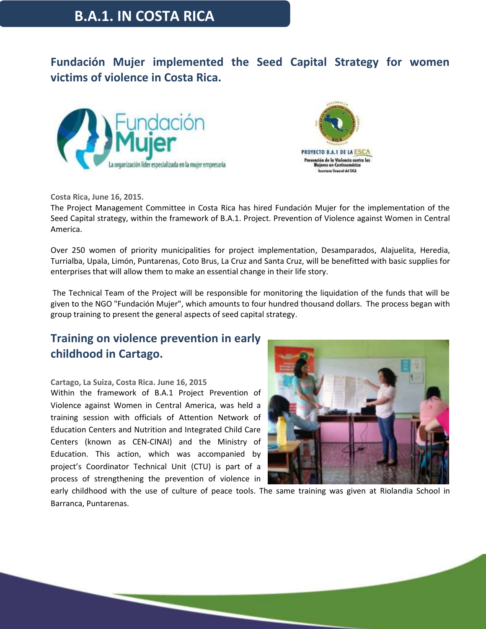### **B.A.1. IN COSTA RICA**

**Fundación Mujer implemented the Seed Capital Strategy for women victims of violence in Costa Rica.**





**Costa Rica, June 16, 2015.**

The Project Management Committee in Costa Rica has hired Fundación Mujer for the implementation of the Seed Capital strategy, within the framework of B.A.1. Project. Prevention of Violence against Women in Central America.

Over 250 women of priority municipalities for project implementation, Desamparados, Alajuelita, Heredia, Turrialba, Upala, Limón, Puntarenas, Coto Brus, La Cruz and Santa Cruz, will be benefitted with basic supplies for enterprises that will allow them to make an essential change in their life story.

The Technical Team of the Project will be responsible for monitoring the liquidation of the funds that will be given to the NGO "Fundación Mujer", which amounts to four hundred thousand dollars. The process began with group training to present the general aspects of seed capital strategy.

#### **Training on violence prevention in early childhood in Cartago.**

#### **Cartago, La Suiza, Costa Rica. June 16, 2015**

Within the framework of B.A.1 Project Prevention of Violence against Women in Central America, was held a training session with officials of Attention Network of Education Centers and Nutrition and Integrated Child Care Centers (known as CEN-CINAI) and the Ministry of Education. This action, which was accompanied by project's Coordinator Technical Unit (CTU) is part of a process of strengthening the prevention of violence in



early childhood with the use of culture of peace tools. The same training was given at Riolandia School in Barranca, Puntarenas.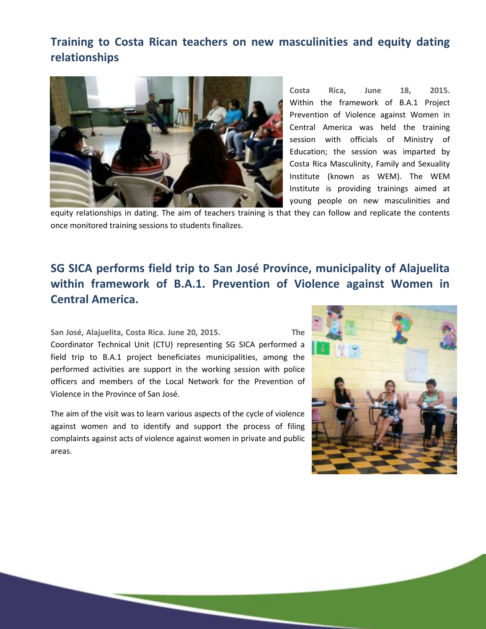#### **Training to Costa Rican teachers on new masculinities and equity dating relationships**



**Costa Rica, June 18, 2015.**  Within the framework of B.A.1 Project Prevention of Violence against Women in Central America was held the training session with officials of Ministry of Education; the session was imparted by Costa Rica Masculinity, Family and Sexuality Institute (known as WEM). The WEM Institute is providing trainings aimed at young people on new masculinities and

equity relationships in dating. The aim of teachers training is that they can follow and replicate the contents once monitored training sessions to students finalizes.

## **SG SICA performs field trip to San José Province, municipality of Alajuelita within framework of B.A.1. Prevention of Violence against Women in Central America.**

**San José, Alajuelita, Costa Rica. June 20, 2015. The**  Coordinator Technical Unit (CTU) representing SG SICA performed a field trip to B.A.1 project beneficiates municipalities, among the performed activities are support in the working session with police officers and members of the Local Network for the Prevention of Violence in the Province of San José.

The aim of the visit was to learn various aspects of the cycle of violence against women and to identify and support the process of filing complaints against acts of violence against women in private and public areas.

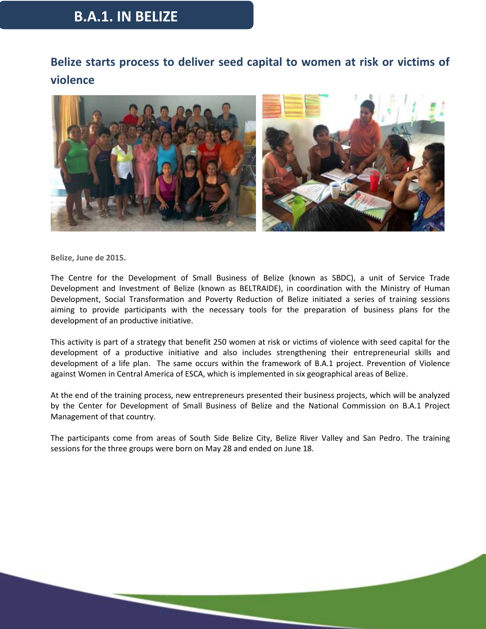## **B.A.1. IN BELIZE**

## **Belize starts process to deliver seed capital to women at risk or victims of violence**



**Belize, June de 2015.**

The Centre for the Development of Small Business of Belize (known as SBDC), a unit of Service Trade Development and Investment of Belize (known as BELTRAIDE), in coordination with the Ministry of Human Development, Social Transformation and Poverty Reduction of Belize initiated a series of training sessions aiming to provide participants with the necessary tools for the preparation of business plans for the development of an productive initiative.

This activity is part of a strategy that benefit 250 women at risk or victims of violence with seed capital for the development of a productive initiative and also includes strengthening their entrepreneurial skills and development of a life plan. The same occurs within the framework of B.A.1 project. Prevention of Violence against Women in Central America of ESCA, which is implemented in six geographical areas of Belize.

At the end of the training process, new entrepreneurs presented their business projects, which will be analyzed by the Center for Development of Small Business of Belize and the National Commission on B.A.1 Project Management of that country.

The participants come from areas of South Side Belize City, Belize River Valley and San Pedro. The training sessions for the three groups were born on May 28 and ended on June 18.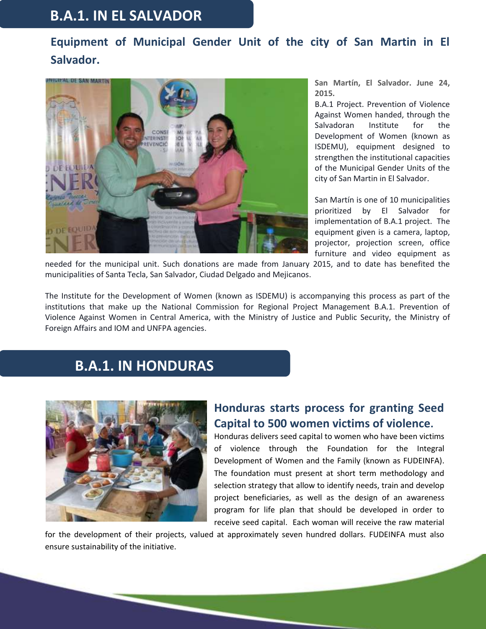## **B.A.1. IN EL SALVADOR**

## **Equipment of Municipal Gender Unit of the city of San Martin in El Salvador.**



**San Martín, El Salvador. June 24, 2015.**

B.A.1 Project. Prevention of Violence Against Women handed, through the Salvadoran Institute for the Development of Women (known as ISDEMU), equipment designed to strengthen the institutional capacities of the Municipal Gender Units of the city of San Martin in El Salvador.

San Martín is one of 10 municipalities prioritized by El Salvador for implementation of B.A.1 project. The equipment given is a camera, laptop, projector, projection screen, office furniture and video equipment as

needed for the municipal unit. Such donations are made from January 2015, and to date has benefited the municipalities of Santa Tecla, San Salvador, Ciudad Delgado and Mejicanos.

The Institute for the Development of Women (known as ISDEMU) is accompanying this process as part of the institutions that make up the National Commission for Regional Project Management B.A.1. Prevention of Violence Against Women in Central America, with the Ministry of Justice and Public Security, the Ministry of Foreign Affairs and IOM and UNFPA agencies.

## **B.A.1. IN HONDURAS**



#### **Honduras starts process for granting Seed Capital to 500 women victims of violence.**

Honduras delivers seed capital to women who have been victims of violence through the Foundation for the Integral Development of Women and the Family (known as FUDEINFA). The foundation must present at short term methodology and selection strategy that allow to identify needs, train and develop project beneficiaries, as well as the design of an awareness program for life plan that should be developed in order to receive seed capital. Each woman will receive the raw material

for the development of their projects, valued at approximately seven hundred dollars. FUDEINFA must also ensure sustainability of the initiative.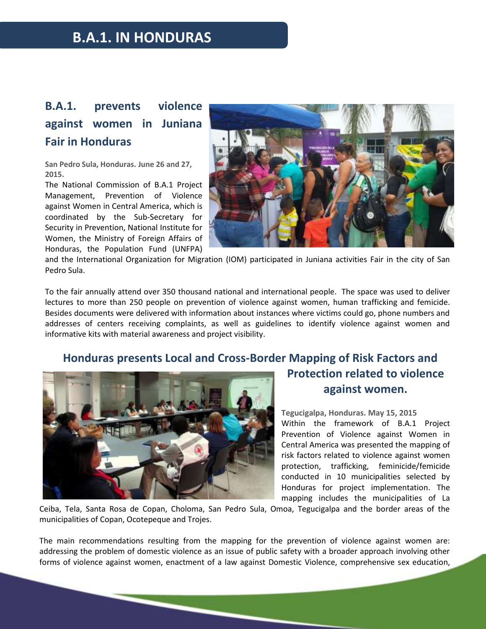## **B.A.1. IN HONDURAS**

## **B.A.1. prevents violence against women in Juniana Fair in Honduras**

**San Pedro Sula, Honduras. June 26 and 27, 2015.**

The National Commission of B.A.1 Project Management, Prevention of Violence against Women in Central America, which is coordinated by the Sub-Secretary for Security in Prevention, National Institute for Women, the Ministry of Foreign Affairs of Honduras, the Population Fund (UNFPA)



and the International Organization for Migration (IOM) participated in Juniana activities Fair in the city of San Pedro Sula.

To the fair annually attend over 350 thousand national and international people. The space was used to deliver lectures to more than 250 people on prevention of violence against women, human trafficking and femicide. Besides documents were delivered with information about instances where victims could go, phone numbers and addresses of centers receiving complaints, as well as guidelines to identify violence against women and informative kits with material awareness and project visibility.

#### **Honduras presents Local and Cross-Border Mapping of Risk Factors and**



# **Protection related to violence against women.**

**Tegucigalpa, Honduras. May 15, 2015** Within the framework of B.A.1 Project Prevention of Violence against Women in Central America was presented the mapping of risk factors related to violence against women protection, trafficking, feminicide/femicide conducted in 10 municipalities selected by Honduras for project implementation. The mapping includes the municipalities of La

Ceiba, Tela, Santa Rosa de Copan, Choloma, San Pedro Sula, Omoa, Tegucigalpa and the border areas of the municipalities of Copan, Ocotepeque and Trojes.

The main recommendations resulting from the mapping for the prevention of violence against women are: addressing the problem of domestic violence as an issue of public safety with a broader approach involving other forms of violence against women, enactment of a law against Domestic Violence, comprehensive sex education,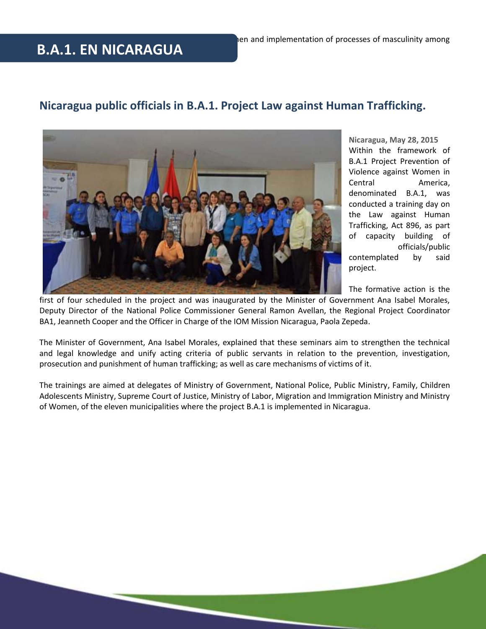# **B.A.1. EN NICARAGUA**

#### **Nicaragua public officials in B.A.1. Project Law against Human Trafficking.**



**Nicaragua, May 28, 2015** Within the framework of B.A.1 Project Prevention of Violence against Women in Central America, denominated B.A.1, was conducted a training day on the Law against Human Trafficking, Act 896, as part of capacity building of officials/public contemplated by said project.

The formative action is the

first of four scheduled in the project and was inaugurated by the Minister of Government Ana Isabel Morales, Deputy Director of the National Police Commissioner General Ramon Avellan, the Regional Project Coordinator BA1, Jeanneth Cooper and the Officer in Charge of the IOM Mission Nicaragua, Paola Zepeda.

The Minister of Government, Ana Isabel Morales, explained that these seminars aim to strengthen the technical and legal knowledge and unify acting criteria of public servants in relation to the prevention, investigation, prosecution and punishment of human trafficking; as well as care mechanisms of victims of it.

The trainings are aimed at delegates of Ministry of Government, National Police, Public Ministry, Family, Children Adolescents Ministry, Supreme Court of Justice, Ministry of Labor, Migration and Immigration Ministry and Ministry of Women, of the eleven municipalities where the project B.A.1 is implemented in Nicaragua.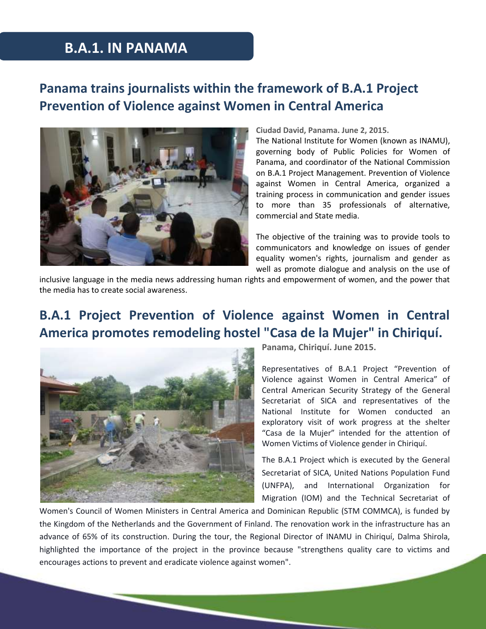## **B.A.1. IN PANAMA**

## **Panama trains journalists within the framework of B.A.1 Project Prevention of Violence against Women in Central America**



#### **Ciudad David, Panama. June 2, 2015.**

The National Institute for Women (known as INAMU), governing body of Public Policies for Women of Panama, and coordinator of the National Commission on B.A.1 Project Management. Prevention of Violence against Women in Central America, organized a training process in communication and gender issues to more than 35 professionals of alternative, commercial and State media.

The objective of the training was to provide tools to communicators and knowledge on issues of gender equality women's rights, journalism and gender as well as promote dialogue and analysis on the use of

inclusive language in the media news addressing human rights and empowerment of women, and the power that the media has to create social awareness.

## **B.A.1 Project Prevention of Violence against Women in Central America promotes remodeling hostel "Casa de la Mujer" in Chiriquí.**



**Panama, Chiriquí. June 2015.**

Representatives of B.A.1 Project "Prevention of Violence against Women in Central America" of Central American Security Strategy of the General Secretariat of SICA and representatives of the National Institute for Women conducted an exploratory visit of work progress at the shelter "Casa de la Mujer" intended for the attention of Women Victims of Violence gender in Chiriquí.

The B.A.1 Project which is executed by the General Secretariat of SICA, United Nations Population Fund (UNFPA), and International Organization for Migration (IOM) and the Technical Secretariat of

Women's Council of Women Ministers in Central America and Dominican Republic (STM COMMCA), is funded by the Kingdom of the Netherlands and the Government of Finland. The renovation work in the infrastructure has an advance of 65% of its construction. During the tour, the Regional Director of INAMU in Chiriquí, Dalma Shirola, highlighted the importance of the project in the province because "strengthens quality care to victims and encourages actions to prevent and eradicate violence against women".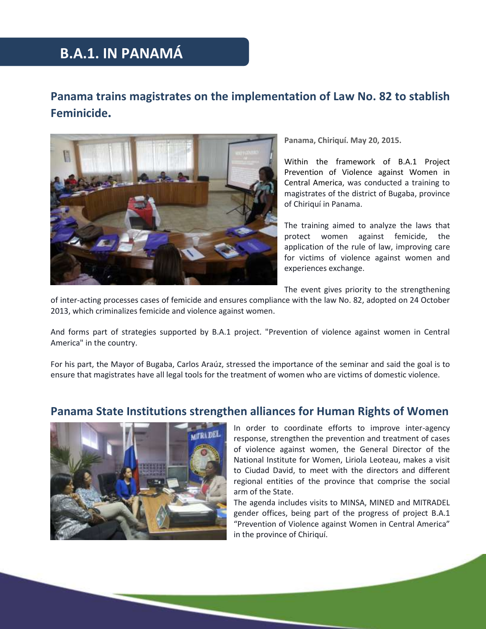# **B.A.1. IN PANAMÁ**

#### **Panama trains magistrates on the implementation of Law No. 82 to stablish Feminicide.**



**Panama, Chiriquí. May 20, 2015.**

Within the framework of B.A.1 Project Prevention of Violence against Women in Central America, was conducted a training to magistrates of the district of Bugaba, province of Chiriquí in Panama.

The training aimed to analyze the laws that protect women against femicide, the application of the rule of law, improving care for victims of violence against women and experiences exchange.

The event gives priority to the strengthening

of inter-acting processes cases of femicide and ensures compliance with the law No. 82, adopted on 24 October 2013, which criminalizes femicide and violence against women.

And forms part of strategies supported by B.A.1 project. "Prevention of violence against women in Central America" in the country.

For his part, the Mayor of Bugaba, Carlos Araúz, stressed the importance of the seminar and said the goal is to ensure that magistrates have all legal tools for the treatment of women who are victims of domestic violence.

# **Panama State Institutions strengthen alliances for Human Rights of Women**



In order to coordinate efforts to improve inter-agency response, strengthen the prevention and treatment of cases of violence against women, the General Director of the National Institute for Women, Liriola Leoteau, makes a visit to Ciudad David, to meet with the directors and different regional entities of the province that comprise the social arm of the State.

The agenda includes visits to MINSA, MINED and MITRADEL gender offices, being part of the progress of project B.A.1 "Prevention of Violence against Women in Central America" in the province of Chiriquí.